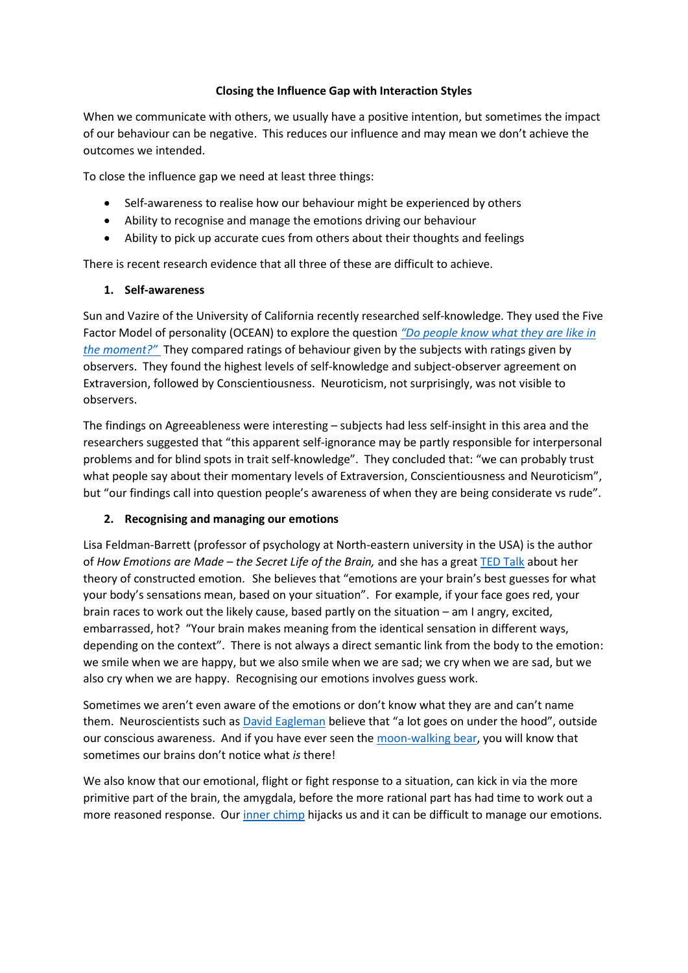## **Closing the Influence Gap with Interaction Styles**

When we communicate with others, we usually have a positive intention, but sometimes the impact of our behaviour can be negative. This reduces our influence and may mean we don't achieve the outcomes we intended.

To close the influence gap we need at least three things:

- Self-awareness to realise how our behaviour might be experienced by others
- Ability to recognise and manage the emotions driving our behaviour
- Ability to pick up accurate cues from others about their thoughts and feelings

There is recent research evidence that all three of these are difficult to achieve.

## **1. Self-awareness**

Sun and Vazire of the University of California recently researched self-knowledge. They used the Five Factor Model of personality (OCEAN) to explore the question *["Do people know what they are like](https://digest.bps.org.uk/2018/10/03/most-of-us-have-some-insight-into-our-personality-traits-but-how-self-aware-are-we-in-the-moment/) in [the moment?"](https://digest.bps.org.uk/2018/10/03/most-of-us-have-some-insight-into-our-personality-traits-but-how-self-aware-are-we-in-the-moment/)* They compared ratings of behaviour given by the subjects with ratings given by observers. They found the highest levels of self-knowledge and subject-observer agreement on Extraversion, followed by Conscientiousness. Neuroticism, not surprisingly, was not visible to observers.

The findings on Agreeableness were interesting – subjects had less self-insight in this area and the researchers suggested that "this apparent self-ignorance may be partly responsible for interpersonal problems and for blind spots in trait self-knowledge". They concluded that: "we can probably trust what people say about their momentary levels of Extraversion, Conscientiousness and Neuroticism", but "our findings call into question people's awareness of when they are being considerate vs rude".

# **2. Recognising and managing our emotions**

Lisa Feldman-Barrett (professor of psychology at North-eastern university in the USA) is the author of *How Emotions are Made – the Secret Life of the Brain,* and she has a grea[t TED Talk](https://www.ted.com/talks/lisa_feldman_barrett_you_aren_t_at_the_mercy_of_your_emotions_your_brain_creates_them) about her theory of constructed emotion. She believes that "emotions are your brain's best guesses for what your body's sensations mean, based on your situation". For example, if your face goes red, your brain races to work out the likely cause, based partly on the situation – am I angry, excited, embarrassed, hot? "Your brain makes meaning from the identical sensation in different ways, depending on the context". There is not always a direct semantic link from the body to the emotion: we smile when we are happy, but we also smile when we are sad; we cry when we are sad, but we also cry when we are happy. Recognising our emotions involves guess work.

Sometimes we aren't even aware of the emotions or don't know what they are and can't name them. Neuroscientists such as **David Eagleman** believe that "a lot goes on under the hood", outside our conscious awareness. And if you have ever seen the [moon-walking bear,](https://vimeo.com/148247749) you will know that sometimes our brains don't notice what *is* there!

We also know that our emotional, flight or fight response to a situation, can kick in via the more primitive part of the brain, the amygdala, before the more rational part has had time to work out a more reasoned response. Our *inner chimp* hijacks us and it can be difficult to manage our emotions.